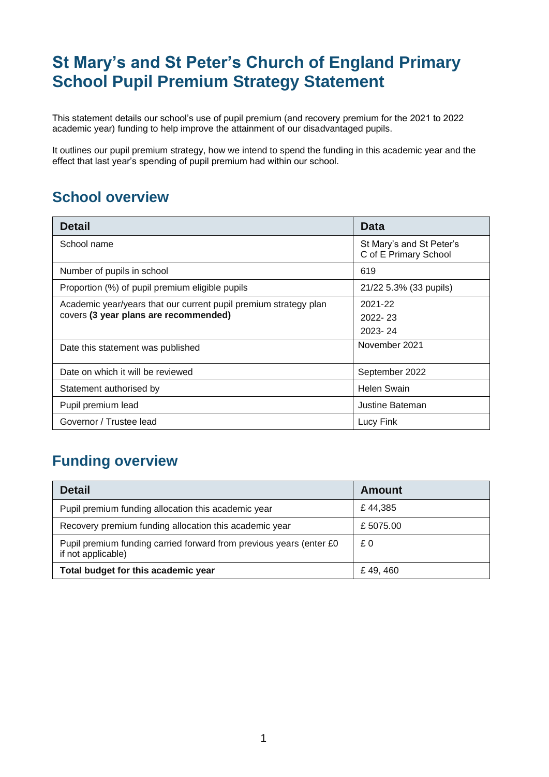# **St Mary's and St Peter's Church of England Primary School Pupil Premium Strategy Statement**

This statement details our school's use of pupil premium (and recovery premium for the 2021 to 2022 academic year) funding to help improve the attainment of our disadvantaged pupils.

It outlines our pupil premium strategy, how we intend to spend the funding in this academic year and the effect that last year's spending of pupil premium had within our school.

### **School overview**

| <b>Detail</b>                                                                                             | Data                                              |
|-----------------------------------------------------------------------------------------------------------|---------------------------------------------------|
| School name                                                                                               | St Mary's and St Peter's<br>C of E Primary School |
| Number of pupils in school                                                                                | 619                                               |
| Proportion (%) of pupil premium eligible pupils                                                           | 21/22 5.3% (33 pupils)                            |
| Academic year/years that our current pupil premium strategy plan<br>covers (3 year plans are recommended) | 2021-22<br>$2022 - 23$<br>2023-24                 |
| Date this statement was published                                                                         | November 2021                                     |
| Date on which it will be reviewed                                                                         | September 2022                                    |
| Statement authorised by                                                                                   | <b>Helen Swain</b>                                |
| Pupil premium lead                                                                                        | Justine Bateman                                   |
| Governor / Trustee lead                                                                                   | Lucy Fink                                         |

### **Funding overview**

| <b>Detail</b>                                                                             | Amount   |
|-------------------------------------------------------------------------------------------|----------|
| Pupil premium funding allocation this academic year                                       | £44,385  |
| Recovery premium funding allocation this academic year                                    | £5075.00 |
| Pupil premium funding carried forward from previous years (enter £0<br>if not applicable) | £0       |
| Total budget for this academic year                                                       | £49,460  |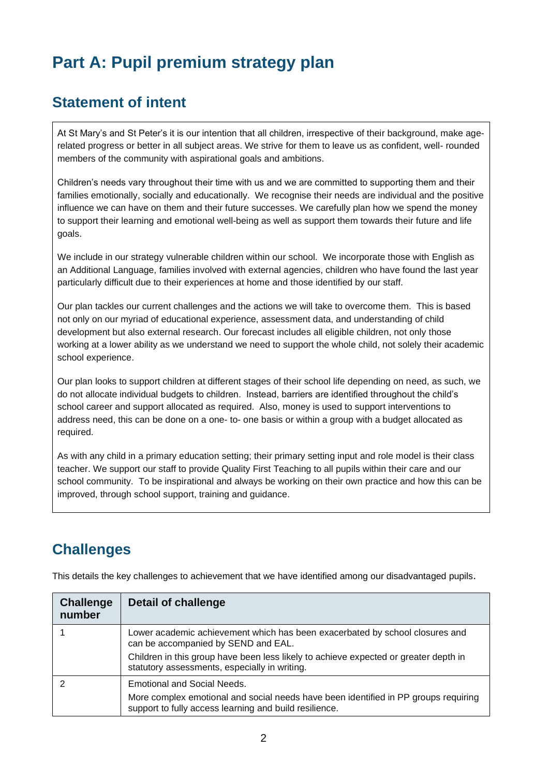# **Part A: Pupil premium strategy plan**

### **Statement of intent**

At St Mary's and St Peter's it is our intention that all children, irrespective of their background, make agerelated progress or better in all subject areas. We strive for them to leave us as confident, well- rounded members of the community with aspirational goals and ambitions.

Children's needs vary throughout their time with us and we are committed to supporting them and their families emotionally, socially and educationally. We recognise their needs are individual and the positive influence we can have on them and their future successes. We carefully plan how we spend the money to support their learning and emotional well-being as well as support them towards their future and life goals.

We include in our strategy vulnerable children within our school. We incorporate those with English as an Additional Language, families involved with external agencies, children who have found the last year particularly difficult due to their experiences at home and those identified by our staff.

Our plan tackles our current challenges and the actions we will take to overcome them. This is based not only on our myriad of educational experience, assessment data, and understanding of child development but also external research. Our forecast includes all eligible children, not only those working at a lower ability as we understand we need to support the whole child, not solely their academic school experience.

Our plan looks to support children at different stages of their school life depending on need, as such, we do not allocate individual budgets to children. Instead, barriers are identified throughout the child's school career and support allocated as required. Also, money is used to support interventions to address need, this can be done on a one- to- one basis or within a group with a budget allocated as required.

As with any child in a primary education setting; their primary setting input and role model is their class teacher. We support our staff to provide Quality First Teaching to all pupils within their care and our school community. To be inspirational and always be working on their own practice and how this can be improved, through school support, training and guidance.

## **Challenges**

| <b>Challenge</b><br>number | <b>Detail of challenge</b>                                                                                                                                                   |
|----------------------------|------------------------------------------------------------------------------------------------------------------------------------------------------------------------------|
|                            | Lower academic achievement which has been exacerbated by school closures and<br>can be accompanied by SEND and EAL.                                                          |
|                            | Children in this group have been less likely to achieve expected or greater depth in<br>statutory assessments, especially in writing.                                        |
|                            | Emotional and Social Needs.<br>More complex emotional and social needs have been identified in PP groups requiring<br>support to fully access learning and build resilience. |

This details the key challenges to achievement that we have identified among our disadvantaged pupils.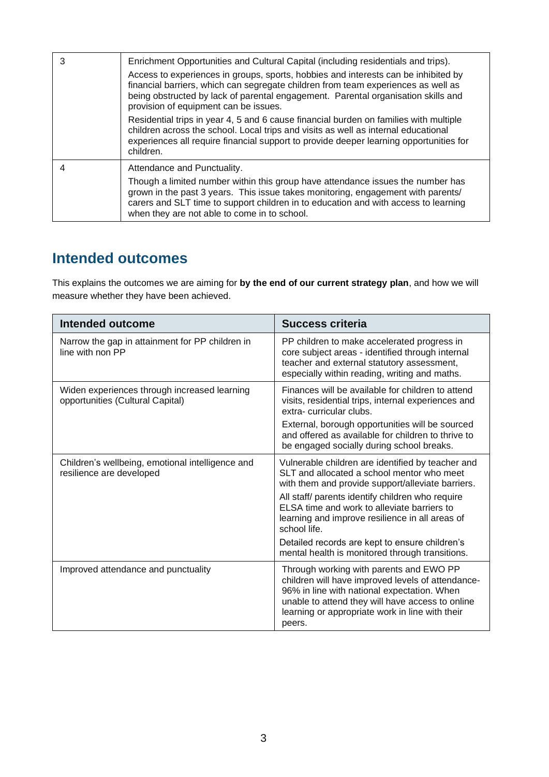| 3 | Enrichment Opportunities and Cultural Capital (including residentials and trips).<br>Access to experiences in groups, sports, hobbies and interests can be inhibited by<br>financial barriers, which can segregate children from team experiences as well as<br>being obstructed by lack of parental engagement. Parental organisation skills and<br>provision of equipment can be issues. |
|---|--------------------------------------------------------------------------------------------------------------------------------------------------------------------------------------------------------------------------------------------------------------------------------------------------------------------------------------------------------------------------------------------|
|   | Residential trips in year 4, 5 and 6 cause financial burden on families with multiple<br>children across the school. Local trips and visits as well as internal educational<br>experiences all require financial support to provide deeper learning opportunities for<br>children.                                                                                                         |
|   | Attendance and Punctuality.<br>Though a limited number within this group have attendance issues the number has<br>grown in the past 3 years. This issue takes monitoring, engagement with parents/<br>carers and SLT time to support children in to education and with access to learning<br>when they are not able to come in to school.                                                  |

#### **Intended outcomes**

This explains the outcomes we are aiming for **by the end of our current strategy plan**, and how we will measure whether they have been achieved.

| <b>Intended outcome</b>                                                          | <b>Success criteria</b>                                                                                                                                                                                                                                                                                                    |
|----------------------------------------------------------------------------------|----------------------------------------------------------------------------------------------------------------------------------------------------------------------------------------------------------------------------------------------------------------------------------------------------------------------------|
| Narrow the gap in attainment for PP children in<br>line with non PP              | PP children to make accelerated progress in<br>core subject areas - identified through internal<br>teacher and external statutory assessment,<br>especially within reading, writing and maths.                                                                                                                             |
| Widen experiences through increased learning<br>opportunities (Cultural Capital) | Finances will be available for children to attend<br>visits, residential trips, internal experiences and<br>extra-curricular clubs.<br>External, borough opportunities will be sourced<br>and offered as available for children to thrive to                                                                               |
|                                                                                  | be engaged socially during school breaks.                                                                                                                                                                                                                                                                                  |
| Children's wellbeing, emotional intelligence and<br>resilience are developed     | Vulnerable children are identified by teacher and<br>SLT and allocated a school mentor who meet<br>with them and provide support/alleviate barriers.<br>All staff/ parents identify children who require<br>ELSA time and work to alleviate barriers to<br>learning and improve resilience in all areas of<br>school life. |
|                                                                                  | Detailed records are kept to ensure children's<br>mental health is monitored through transitions.                                                                                                                                                                                                                          |
| Improved attendance and punctuality                                              | Through working with parents and EWO PP<br>children will have improved levels of attendance-<br>96% in line with national expectation. When<br>unable to attend they will have access to online<br>learning or appropriate work in line with their<br>peers.                                                               |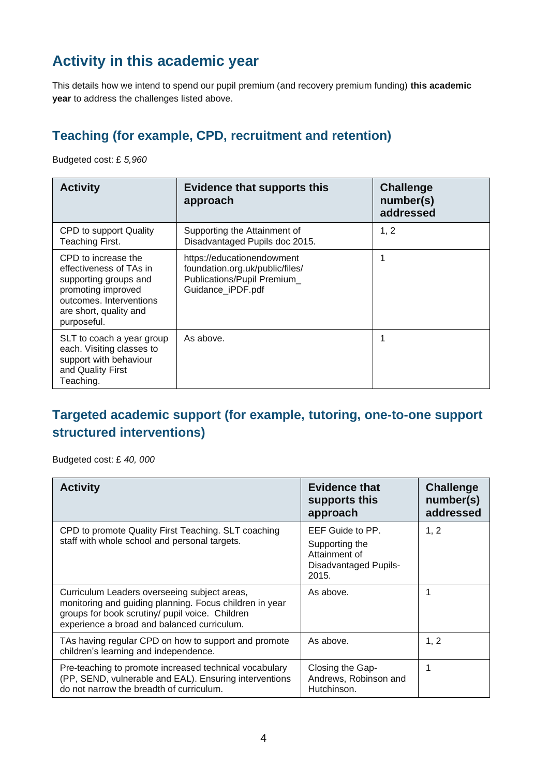## **Activity in this academic year**

This details how we intend to spend our pupil premium (and recovery premium funding) **this academic year** to address the challenges listed above.

### **Teaching (for example, CPD, recruitment and retention)**

Budgeted cost: £ *5,960*

| <b>Activity</b>                                                                                                                                                   | <b>Evidence that supports this</b><br>approach                                                                    | <b>Challenge</b><br>number(s)<br>addressed |
|-------------------------------------------------------------------------------------------------------------------------------------------------------------------|-------------------------------------------------------------------------------------------------------------------|--------------------------------------------|
| CPD to support Quality<br>Teaching First.                                                                                                                         | Supporting the Attainment of<br>Disadvantaged Pupils doc 2015.                                                    | 1, 2                                       |
| CPD to increase the<br>effectiveness of TAs in<br>supporting groups and<br>promoting improved<br>outcomes. Interventions<br>are short, quality and<br>purposeful. | https://educationendowment<br>foundation.org.uk/public/files/<br>Publications/Pupil Premium_<br>Guidance iPDF.pdf |                                            |
| SLT to coach a year group<br>each. Visiting classes to<br>support with behaviour<br>and Quality First<br>Teaching.                                                | As above.                                                                                                         |                                            |

#### **Targeted academic support (for example, tutoring, one-to-one support structured interventions)**

Budgeted cost: £ *40, 000*

| <b>Activity</b>                                                                                                                                                                                           | <b>Evidence that</b><br>supports this<br>approach                                     | <b>Challenge</b><br>number(s)<br>addressed |
|-----------------------------------------------------------------------------------------------------------------------------------------------------------------------------------------------------------|---------------------------------------------------------------------------------------|--------------------------------------------|
| CPD to promote Quality First Teaching. SLT coaching<br>staff with whole school and personal targets.                                                                                                      | EEF Guide to PP.<br>Supporting the<br>Attainment of<br>Disadvantaged Pupils-<br>2015. | 1, 2                                       |
| Curriculum Leaders overseeing subject areas,<br>monitoring and guiding planning. Focus children in year<br>groups for book scrutiny/ pupil voice. Children<br>experience a broad and balanced curriculum. | As above.                                                                             |                                            |
| TAs having regular CPD on how to support and promote<br>children's learning and independence.                                                                                                             | As above.                                                                             | 1, 2                                       |
| Pre-teaching to promote increased technical vocabulary<br>(PP, SEND, vulnerable and EAL). Ensuring interventions<br>do not narrow the breadth of curriculum.                                              | Closing the Gap-<br>Andrews, Robinson and<br>Hutchinson.                              |                                            |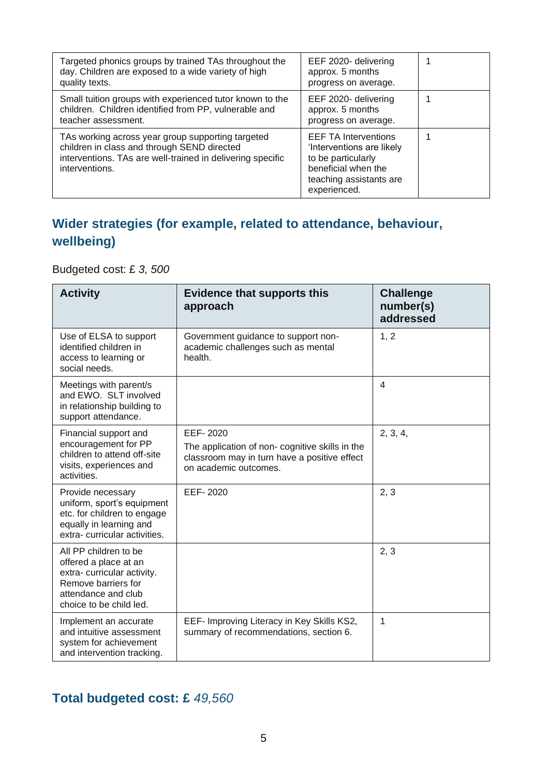| Targeted phonics groups by trained TAs throughout the<br>day. Children are exposed to a wide variety of high<br>quality texts.                                                   | EEF 2020- delivering<br>approx. 5 months<br>progress on average.                                                                                 |  |
|----------------------------------------------------------------------------------------------------------------------------------------------------------------------------------|--------------------------------------------------------------------------------------------------------------------------------------------------|--|
| Small tuition groups with experienced tutor known to the<br>children. Children identified from PP, vulnerable and<br>teacher assessment.                                         | EEF 2020- delivering<br>approx. 5 months<br>progress on average.                                                                                 |  |
| TAs working across year group supporting targeted<br>children in class and through SEND directed<br>interventions. TAs are well-trained in delivering specific<br>interventions. | <b>EEF TA Interventions</b><br>'Interventions are likely<br>to be particularly<br>beneficial when the<br>teaching assistants are<br>experienced. |  |

### **Wider strategies (for example, related to attendance, behaviour, wellbeing)**

Budgeted cost: £ *3, 500*

| <b>Activity</b>                                                                                                                                       | <b>Evidence that supports this</b><br>approach                                                                                      | <b>Challenge</b><br>number(s)<br>addressed |
|-------------------------------------------------------------------------------------------------------------------------------------------------------|-------------------------------------------------------------------------------------------------------------------------------------|--------------------------------------------|
| Use of ELSA to support<br>identified children in<br>access to learning or<br>social needs.                                                            | Government guidance to support non-<br>academic challenges such as mental<br>health.                                                | 1, 2                                       |
| Meetings with parent/s<br>and EWO. SLT involved<br>in relationship building to<br>support attendance.                                                 |                                                                                                                                     | 4                                          |
| Financial support and<br>encouragement for PP<br>children to attend off-site<br>visits, experiences and<br>activities.                                | EEF-2020<br>The application of non-cognitive skills in the<br>classroom may in turn have a positive effect<br>on academic outcomes. | 2, 3, 4,                                   |
| Provide necessary<br>uniform, sport's equipment<br>etc. for children to engage<br>equally in learning and<br>extra-curricular activities.             | EEF-2020                                                                                                                            | 2, 3                                       |
| All PP children to be<br>offered a place at an<br>extra-curricular activity.<br>Remove barriers for<br>attendance and club<br>choice to be child led. |                                                                                                                                     | 2, 3                                       |
| Implement an accurate<br>and intuitive assessment<br>system for achievement<br>and intervention tracking.                                             | EEF- Improving Literacy in Key Skills KS2,<br>summary of recommendations, section 6.                                                | 1                                          |

### **Total budgeted cost: £** *49,560*